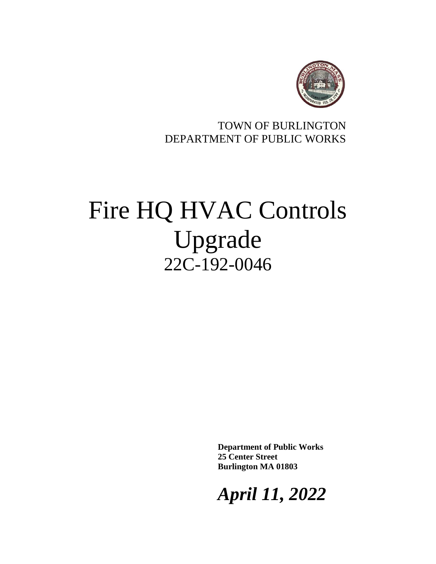

# TOWN OF BURLINGTON DEPARTMENT OF PUBLIC WORKS

# Fire HQ HVAC Controls Upgrade 22C-192-0046

**Department of Public Works 25 Center Street Burlington MA 01803**

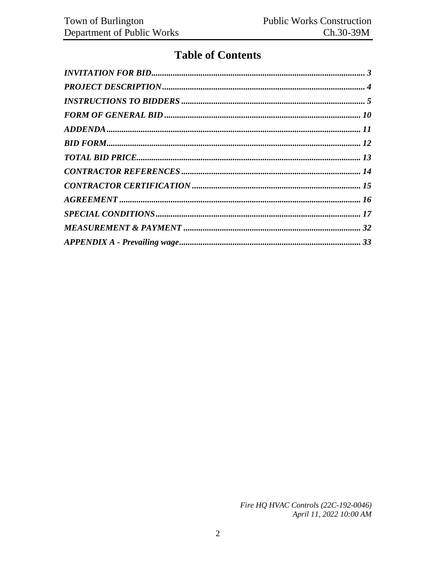# **Table of Contents**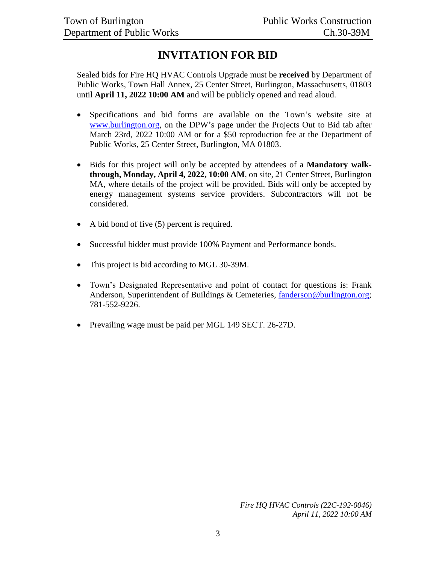# **INVITATION FOR BID**

<span id="page-2-0"></span>Sealed bids for Fire HQ HVAC Controls Upgrade must be **received** by Department of Public Works, Town Hall Annex, 25 Center Street, Burlington, Massachusetts, 01803 until **April 11, 2022 10:00 AM** and will be publicly opened and read aloud.

- Specifications and bid forms are available on the Town's website site at [www.burlington.org,](http://www.burlington.org/) on the DPW's page under the Projects Out to Bid tab after March 23rd, 2022 10:00 AM or for a \$50 reproduction fee at the Department of Public Works, 25 Center Street, Burlington, MA 01803.
- Bids for this project will only be accepted by attendees of a **Mandatory walkthrough, Monday, April 4, 2022, 10:00 AM**, on site, 21 Center Street, Burlington MA, where details of the project will be provided. Bids will only be accepted by energy management systems service providers. Subcontractors will not be considered.
- A bid bond of five (5) percent is required.
- Successful bidder must provide 100% Payment and Performance bonds.
- This project is bid according to MGL 30-39M.
- Town's Designated Representative and point of contact for questions is: Frank Anderson, Superintendent of Buildings & Cemeteries, [fanderson@burlington.org;](mailto:fanderson@burlington.org) 781-552-9226.
- Prevailing wage must be paid per MGL 149 SECT. 26-27D.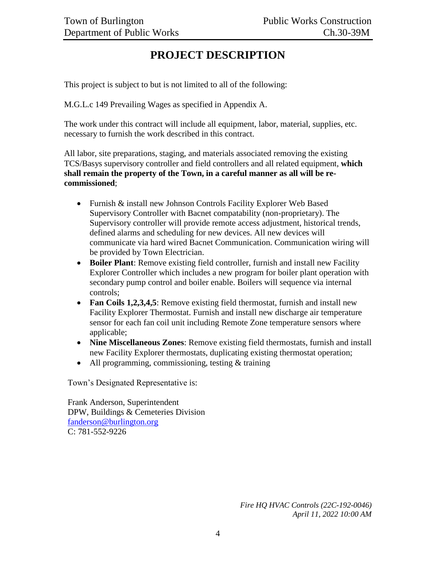# **PROJECT DESCRIPTION**

<span id="page-3-0"></span>This project is subject to but is not limited to all of the following:

M.G.L.c 149 Prevailing Wages as specified in Appendix A.

The work under this contract will include all equipment, labor, material, supplies, etc. necessary to furnish the work described in this contract.

All labor, site preparations, staging, and materials associated removing the existing TCS/Basys supervisory controller and field controllers and all related equipment, **which shall remain the property of the Town, in a careful manner as all will be recommissioned**;

- Furnish & install new Johnson Controls Facility Explorer Web Based Supervisory Controller with Bacnet compatability (non-proprietary). The Supervisory controller will provide remote access adjustment, historical trends, defined alarms and scheduling for new devices. All new devices will communicate via hard wired Bacnet Communication. Communication wiring will be provided by Town Electrician.
- **Boiler Plant**: Remove existing field controller, furnish and install new Facility Explorer Controller which includes a new program for boiler plant operation with secondary pump control and boiler enable. Boilers will sequence via internal controls;
- Fan Coils 1,2,3,4,5: Remove existing field thermostat, furnish and install new Facility Explorer Thermostat. Furnish and install new discharge air temperature sensor for each fan coil unit including Remote Zone temperature sensors where applicable;
- **Nine Miscellaneous Zones**: Remove existing field thermostats, furnish and install new Facility Explorer thermostats, duplicating existing thermostat operation;
- All programming, commissioning, testing & training

Town's Designated Representative is:

Frank Anderson, Superintendent DPW, Buildings & Cemeteries Division [fanderson@burlington.org](mailto:fanderson@burlington.org) C: 781-552-9226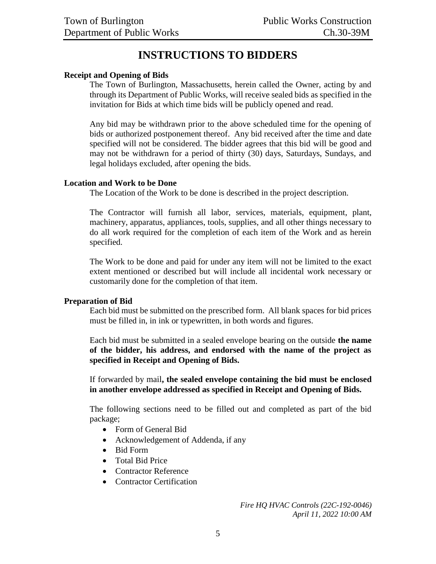# **INSTRUCTIONS TO BIDDERS**

#### <span id="page-4-0"></span>**Receipt and Opening of Bids**

The Town of Burlington, Massachusetts, herein called the Owner, acting by and through its Department of Public Works, will receive sealed bids as specified in the invitation for Bids at which time bids will be publicly opened and read.

Any bid may be withdrawn prior to the above scheduled time for the opening of bids or authorized postponement thereof. Any bid received after the time and date specified will not be considered. The bidder agrees that this bid will be good and may not be withdrawn for a period of thirty (30) days, Saturdays, Sundays, and legal holidays excluded, after opening the bids.

#### **Location and Work to be Done**

The Location of the Work to be done is described in the project description.

The Contractor will furnish all labor, services, materials, equipment, plant, machinery, apparatus, appliances, tools, supplies, and all other things necessary to do all work required for the completion of each item of the Work and as herein specified.

The Work to be done and paid for under any item will not be limited to the exact extent mentioned or described but will include all incidental work necessary or customarily done for the completion of that item.

#### **Preparation of Bid**

Each bid must be submitted on the prescribed form. All blank spaces for bid prices must be filled in, in ink or typewritten, in both words and figures.

Each bid must be submitted in a sealed envelope bearing on the outside **the name of the bidder, his address, and endorsed with the name of the project as specified in Receipt and Opening of Bids.**

If forwarded by mail**, the sealed envelope containing the bid must be enclosed in another envelope addressed as specified in Receipt and Opening of Bids.**

The following sections need to be filled out and completed as part of the bid package;

- Form of General Bid
- Acknowledgement of Addenda, if any
- Bid Form
- Total Bid Price
- Contractor Reference
- Contractor Certification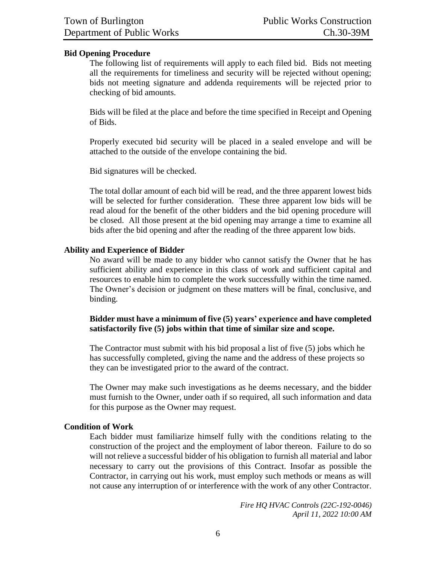#### **Bid Opening Procedure**

The following list of requirements will apply to each filed bid. Bids not meeting all the requirements for timeliness and security will be rejected without opening; bids not meeting signature and addenda requirements will be rejected prior to checking of bid amounts.

Bids will be filed at the place and before the time specified in Receipt and Opening of Bids.

Properly executed bid security will be placed in a sealed envelope and will be attached to the outside of the envelope containing the bid.

Bid signatures will be checked.

The total dollar amount of each bid will be read, and the three apparent lowest bids will be selected for further consideration. These three apparent low bids will be read aloud for the benefit of the other bidders and the bid opening procedure will be closed. All those present at the bid opening may arrange a time to examine all bids after the bid opening and after the reading of the three apparent low bids.

#### **Ability and Experience of Bidder**

No award will be made to any bidder who cannot satisfy the Owner that he has sufficient ability and experience in this class of work and sufficient capital and resources to enable him to complete the work successfully within the time named. The Owner's decision or judgment on these matters will be final, conclusive, and binding.

#### **Bidder must have a minimum of five (5) years' experience and have completed satisfactorily five (5) jobs within that time of similar size and scope.**

The Contractor must submit with his bid proposal a list of five (5) jobs which he has successfully completed, giving the name and the address of these projects so they can be investigated prior to the award of the contract.

The Owner may make such investigations as he deems necessary, and the bidder must furnish to the Owner, under oath if so required, all such information and data for this purpose as the Owner may request.

#### **Condition of Work**

Each bidder must familiarize himself fully with the conditions relating to the construction of the project and the employment of labor thereon. Failure to do so will not relieve a successful bidder of his obligation to furnish all material and labor necessary to carry out the provisions of this Contract. Insofar as possible the Contractor, in carrying out his work, must employ such methods or means as will not cause any interruption of or interference with the work of any other Contractor.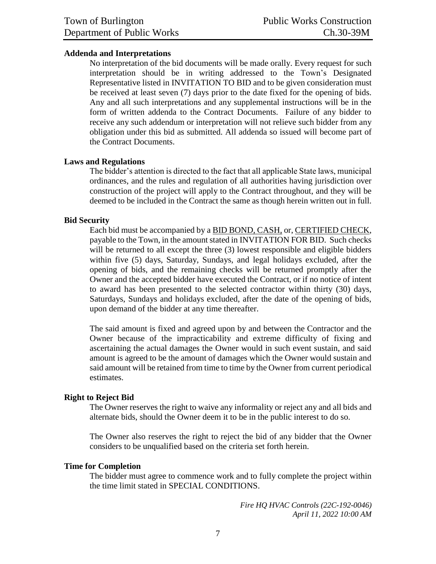#### **Addenda and Interpretations**

No interpretation of the bid documents will be made orally. Every request for such interpretation should be in writing addressed to the Town's Designated Representative listed in INVITATION TO BID and to be given consideration must be received at least seven (7) days prior to the date fixed for the opening of bids. Any and all such interpretations and any supplemental instructions will be in the form of written addenda to the Contract Documents. Failure of any bidder to receive any such addendum or interpretation will not relieve such bidder from any obligation under this bid as submitted. All addenda so issued will become part of the Contract Documents.

#### **Laws and Regulations**

The bidder's attention is directed to the fact that all applicable State laws, municipal ordinances, and the rules and regulation of all authorities having jurisdiction over construction of the project will apply to the Contract throughout, and they will be deemed to be included in the Contract the same as though herein written out in full.

#### **Bid Security**

Each bid must be accompanied by a BID BOND, CASH, or, CERTIFIED CHECK, payable to the Town, in the amount stated in INVITATION FOR BID. Such checks will be returned to all except the three (3) lowest responsible and eligible bidders within five (5) days, Saturday, Sundays, and legal holidays excluded, after the opening of bids, and the remaining checks will be returned promptly after the Owner and the accepted bidder have executed the Contract, or if no notice of intent to award has been presented to the selected contractor within thirty (30) days, Saturdays, Sundays and holidays excluded, after the date of the opening of bids, upon demand of the bidder at any time thereafter.

The said amount is fixed and agreed upon by and between the Contractor and the Owner because of the impracticability and extreme difficulty of fixing and ascertaining the actual damages the Owner would in such event sustain, and said amount is agreed to be the amount of damages which the Owner would sustain and said amount will be retained from time to time by the Owner from current periodical estimates.

#### **Right to Reject Bid**

The Owner reserves the right to waive any informality or reject any and all bids and alternate bids, should the Owner deem it to be in the public interest to do so.

The Owner also reserves the right to reject the bid of any bidder that the Owner considers to be unqualified based on the criteria set forth herein.

#### **Time for Completion**

The bidder must agree to commence work and to fully complete the project within the time limit stated in SPECIAL CONDITIONS.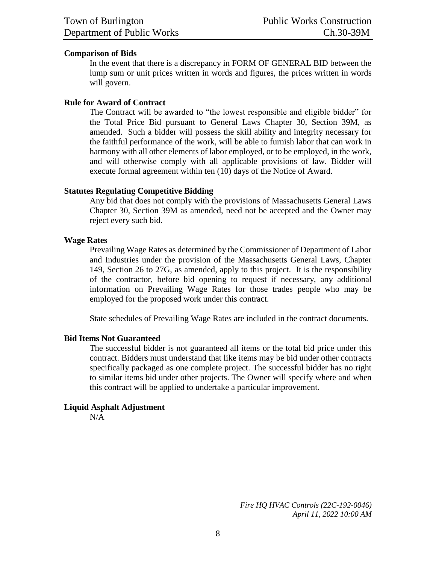#### **Comparison of Bids**

In the event that there is a discrepancy in FORM OF GENERAL BID between the lump sum or unit prices written in words and figures, the prices written in words will govern.

#### **Rule for Award of Contract**

The Contract will be awarded to "the lowest responsible and eligible bidder" for the Total Price Bid pursuant to General Laws Chapter 30, Section 39M, as amended. Such a bidder will possess the skill ability and integrity necessary for the faithful performance of the work, will be able to furnish labor that can work in harmony with all other elements of labor employed, or to be employed, in the work, and will otherwise comply with all applicable provisions of law. Bidder will execute formal agreement within ten (10) days of the Notice of Award.

#### **Statutes Regulating Competitive Bidding**

Any bid that does not comply with the provisions of Massachusetts General Laws Chapter 30, Section 39M as amended, need not be accepted and the Owner may reject every such bid.

#### **Wage Rates**

Prevailing Wage Rates as determined by the Commissioner of Department of Labor and Industries under the provision of the Massachusetts General Laws, Chapter 149, Section 26 to 27G, as amended, apply to this project. It is the responsibility of the contractor, before bid opening to request if necessary, any additional information on Prevailing Wage Rates for those trades people who may be employed for the proposed work under this contract.

State schedules of Prevailing Wage Rates are included in the contract documents.

#### **Bid Items Not Guaranteed**

The successful bidder is not guaranteed all items or the total bid price under this contract. Bidders must understand that like items may be bid under other contracts specifically packaged as one complete project. The successful bidder has no right to similar items bid under other projects. The Owner will specify where and when this contract will be applied to undertake a particular improvement.

#### **Liquid Asphalt Adjustment**

N/A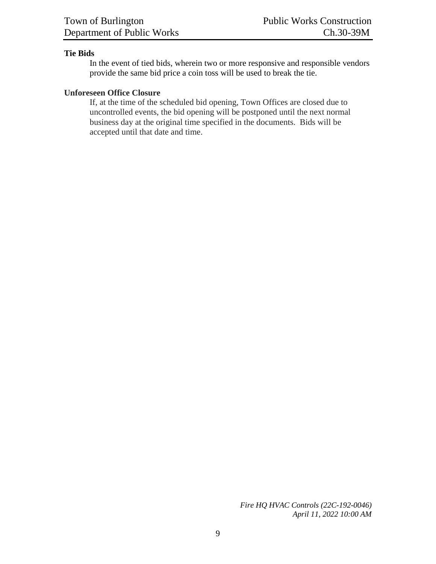#### **Tie Bids**

In the event of tied bids, wherein two or more responsive and responsible vendors provide the same bid price a coin toss will be used to break the tie.

#### **Unforeseen Office Closure**

If, at the time of the scheduled bid opening, Town Offices are closed due to uncontrolled events, the bid opening will be postponed until the next normal business day at the original time specified in the documents. Bids will be accepted until that date and time.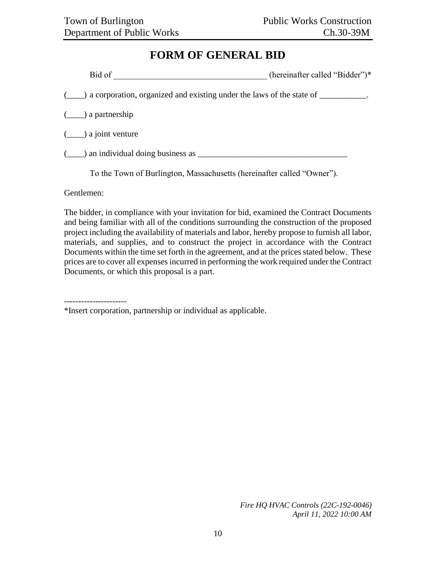# **FORM OF GENERAL BID**

<span id="page-9-0"></span>

| Bid of                                                                                    | (hereinafter called "Bidder")* |
|-------------------------------------------------------------------------------------------|--------------------------------|
| (_____) a corporation, organized and existing under the laws of the state of ___________. |                                |
| $(\underline{\hspace{1cm}})$ a partnership                                                |                                |
| $(\underline{\hspace{1cm}})$ a joint venture                                              |                                |
| $(\_\_\)$ an individual doing business as                                                 |                                |

To the Town of Burlington, Massachusetts (hereinafter called "Owner").

Gentlemen:

The bidder, in compliance with your invitation for bid, examined the Contract Documents and being familiar with all of the conditions surrounding the construction of the proposed project including the availability of materials and labor, hereby propose to furnish all labor, materials, and supplies, and to construct the project in accordance with the Contract Documents within the time set forth in the agreement, and at the prices stated below. These prices are to cover all expenses incurred in performing the work required under the Contract Documents, or which this proposal is a part.

----------------------

\*Insert corporation, partnership or individual as applicable.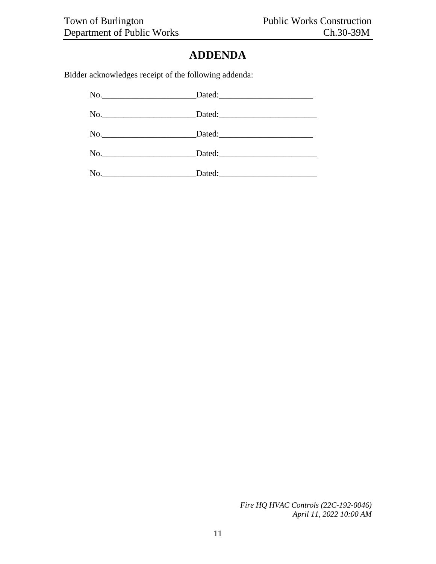# **ADDENDA**

<span id="page-10-0"></span>Bidder acknowledges receipt of the following addenda: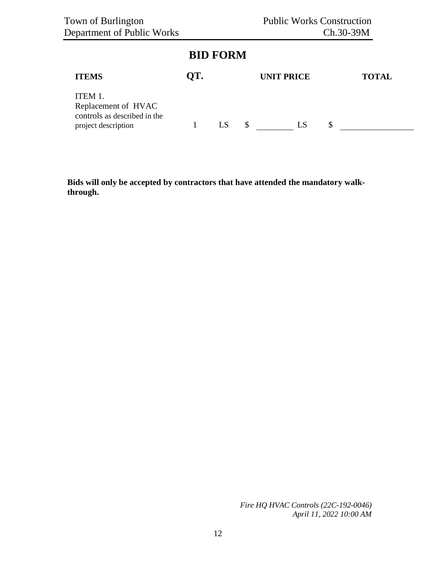# **BID FORM**

<span id="page-11-0"></span>

| <b>ITEMS</b>                                                                          | OT. |    | <b>UNIT PRICE</b> |              | <b>TOTAL</b> |
|---------------------------------------------------------------------------------------|-----|----|-------------------|--------------|--------------|
| ITEM 1.<br>Replacement of HVAC<br>controls as described in the<br>project description |     | \$ |                   | $\mathsf{L}$ |              |

**Bids will only be accepted by contractors that have attended the mandatory walkthrough.**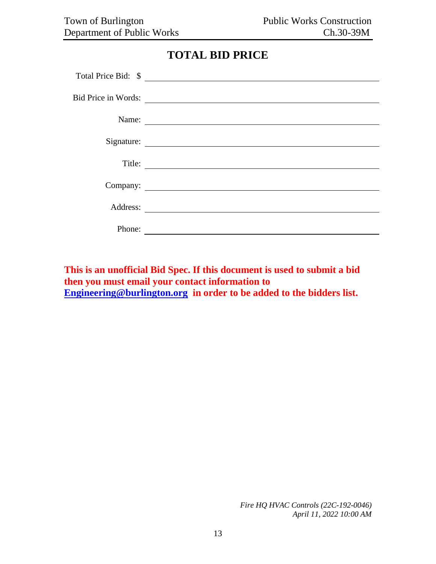# **TOTAL BID PRICE**

<span id="page-12-0"></span>

|        | Total Price Bid: \$                               |
|--------|---------------------------------------------------|
|        | Bid Price in Words:                               |
|        | Name:                                             |
|        |                                                   |
| Title: | <u> 1989 - Andrea State Barbara, amerikan per</u> |
|        | Company:                                          |
|        | Address:                                          |
| Phone: |                                                   |

**This is an unofficial Bid Spec. If this document is used to submit a bid then you must email your contact information to [Engineering@burlington.org](mailto:Engineering@burlington.org) in order to be added to the bidders list.**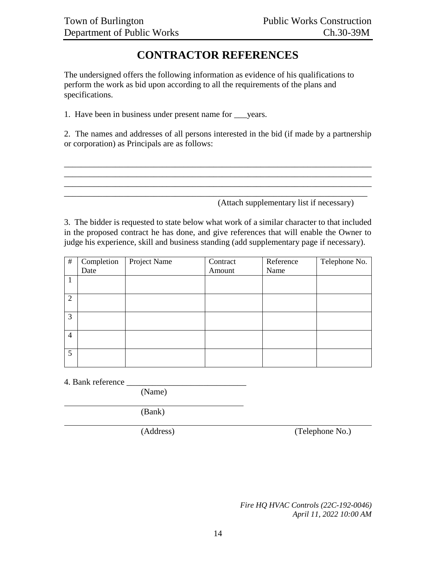# **CONTRACTOR REFERENCES**

<span id="page-13-0"></span>The undersigned offers the following information as evidence of his qualifications to perform the work as bid upon according to all the requirements of the plans and specifications.

1. Have been in business under present name for \_\_\_years.

2. The names and addresses of all persons interested in the bid (if made by a partnership or corporation) as Principals are as follows:

\_\_\_\_\_\_\_\_\_\_\_\_\_\_\_\_\_\_\_\_\_\_\_\_\_\_\_\_\_\_\_\_\_\_\_\_\_\_\_\_\_\_\_\_\_\_\_\_\_\_\_\_\_\_\_\_\_\_\_\_\_\_\_\_\_\_\_\_\_\_\_\_ \_\_\_\_\_\_\_\_\_\_\_\_\_\_\_\_\_\_\_\_\_\_\_\_\_\_\_\_\_\_\_\_\_\_\_\_\_\_\_\_\_\_\_\_\_\_\_\_\_\_\_\_\_\_\_\_\_\_\_\_\_\_\_\_\_\_\_\_\_\_\_\_

\_\_\_\_\_\_\_\_\_\_\_\_\_\_\_\_\_\_\_\_\_\_\_\_\_\_\_\_\_\_\_\_\_\_\_\_\_\_\_\_\_\_\_\_\_\_\_\_\_\_\_\_\_\_\_\_\_\_\_\_\_\_\_\_\_\_\_\_\_\_\_

(Attach supplementary list if necessary)

3. The bidder is requested to state below what work of a similar character to that included in the proposed contract he has done, and give references that will enable the Owner to judge his experience, skill and business standing (add supplementary page if necessary).

| $\#$           | Completion | Project Name | Contract | Reference | Telephone No. |
|----------------|------------|--------------|----------|-----------|---------------|
|                | Date       |              | Amount   | Name      |               |
|                |            |              |          |           |               |
|                |            |              |          |           |               |
| 2              |            |              |          |           |               |
|                |            |              |          |           |               |
| 3              |            |              |          |           |               |
|                |            |              |          |           |               |
| $\overline{4}$ |            |              |          |           |               |
|                |            |              |          |           |               |
| $5^{\circ}$    |            |              |          |           |               |
|                |            |              |          |           |               |

4. Bank reference \_\_\_\_\_\_\_\_\_\_\_\_\_\_\_\_\_\_\_\_\_\_\_\_\_\_\_\_

(Name)

(Bank)

(Address) (Telephone No.)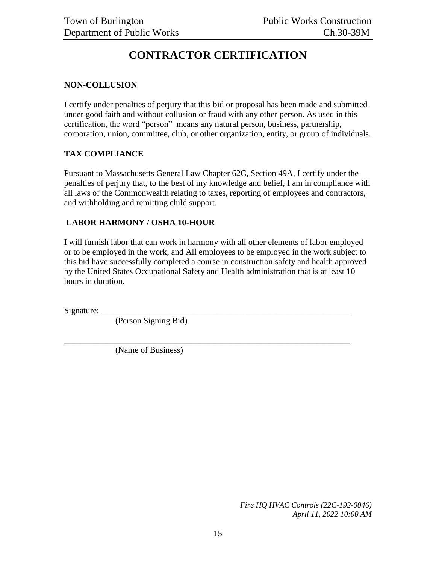# **CONTRACTOR CERTIFICATION**

#### <span id="page-14-0"></span>**NON-COLLUSION**

I certify under penalties of perjury that this bid or proposal has been made and submitted under good faith and without collusion or fraud with any other person. As used in this certification, the word "person" means any natural person, business, partnership, corporation, union, committee, club, or other organization, entity, or group of individuals.

#### **TAX COMPLIANCE**

Pursuant to Massachusetts General Law Chapter 62C, Section 49A, I certify under the penalties of perjury that, to the best of my knowledge and belief, I am in compliance with all laws of the Commonwealth relating to taxes, reporting of employees and contractors, and withholding and remitting child support.

#### **LABOR HARMONY / OSHA 10-HOUR**

I will furnish labor that can work in harmony with all other elements of labor employed or to be employed in the work, and All employees to be employed in the work subject to this bid have successfully completed a course in construction safety and health approved by the United States Occupational Safety and Health administration that is at least 10 hours in duration.

\_\_\_\_\_\_\_\_\_\_\_\_\_\_\_\_\_\_\_\_\_\_\_\_\_\_\_\_\_\_\_\_\_\_\_\_\_\_\_\_\_\_\_\_\_\_\_\_\_\_\_\_\_\_\_\_\_\_\_\_\_\_\_\_\_\_\_

Signature:

(Person Signing Bid)

(Name of Business)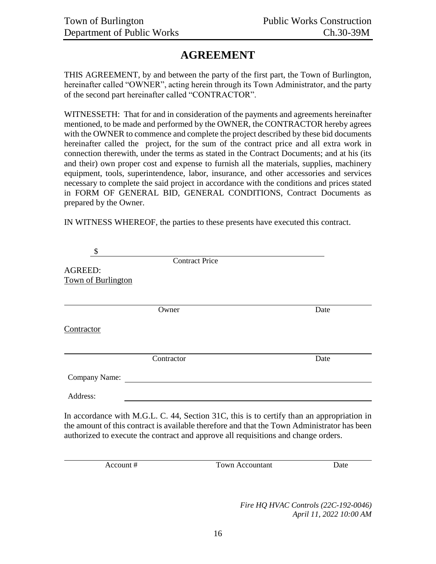# **AGREEMENT**

<span id="page-15-0"></span>THIS AGREEMENT, by and between the party of the first part, the Town of Burlington, hereinafter called "OWNER", acting herein through its Town Administrator, and the party of the second part hereinafter called "CONTRACTOR".

WITNESSETH: That for and in consideration of the payments and agreements hereinafter mentioned, to be made and performed by the OWNER, the CONTRACTOR hereby agrees with the OWNER to commence and complete the project described by these bid documents hereinafter called the project, for the sum of the contract price and all extra work in connection therewith, under the terms as stated in the Contract Documents; and at his (its and their) own proper cost and expense to furnish all the materials, supplies, machinery equipment, tools, superintendence, labor, insurance, and other accessories and services necessary to complete the said project in accordance with the conditions and prices stated in FORM OF GENERAL BID, GENERAL CONDITIONS, Contract Documents as prepared by the Owner.

IN WITNESS WHEREOF, the parties to these presents have executed this contract.

|                           | <b>Contract Price</b>                                                              |                                                                                                                                                                                          |
|---------------------------|------------------------------------------------------------------------------------|------------------------------------------------------------------------------------------------------------------------------------------------------------------------------------------|
| AGREED:                   |                                                                                    |                                                                                                                                                                                          |
| <b>Town of Burlington</b> |                                                                                    |                                                                                                                                                                                          |
|                           |                                                                                    |                                                                                                                                                                                          |
|                           | Owner                                                                              | Date                                                                                                                                                                                     |
| Contractor                |                                                                                    |                                                                                                                                                                                          |
|                           | Contractor                                                                         | Date                                                                                                                                                                                     |
| Company Name:             |                                                                                    |                                                                                                                                                                                          |
| Address:                  |                                                                                    |                                                                                                                                                                                          |
|                           | authorized to execute the contract and approve all requisitions and change orders. | In accordance with M.G.L. C. 44, Section 31C, this is to certify than an appropriation in<br>the amount of this contract is available therefore and that the Town Administrator has been |

Account # Town Accountant Date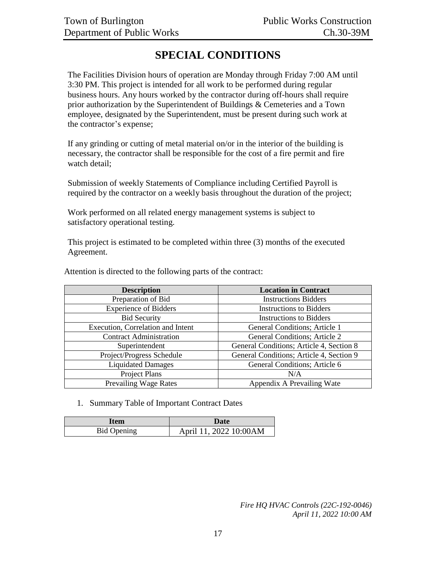# **SPECIAL CONDITIONS**

<span id="page-16-0"></span>The Facilities Division hours of operation are Monday through Friday 7:00 AM until 3:30 PM. This project is intended for all work to be performed during regular business hours. Any hours worked by the contractor during off-hours shall require prior authorization by the Superintendent of Buildings & Cemeteries and a Town employee, designated by the Superintendent, must be present during such work at the contractor's expense;

If any grinding or cutting of metal material on/or in the interior of the building is necessary, the contractor shall be responsible for the cost of a fire permit and fire watch detail;

Submission of weekly Statements of Compliance including Certified Payroll is required by the contractor on a weekly basis throughout the duration of the project;

Work performed on all related energy management systems is subject to satisfactory operational testing.

This project is estimated to be completed within three (3) months of the executed Agreement.

| <b>Description</b>                | <b>Location in Contract</b>              |
|-----------------------------------|------------------------------------------|
| Preparation of Bid                | <b>Instructions Bidders</b>              |
| <b>Experience of Bidders</b>      | <b>Instructions to Bidders</b>           |
| <b>Bid Security</b>               | <b>Instructions to Bidders</b>           |
| Execution, Correlation and Intent | General Conditions; Article 1            |
| <b>Contract Administration</b>    | <b>General Conditions; Article 2</b>     |
| Superintendent                    | General Conditions; Article 4, Section 8 |
| Project/Progress Schedule         | General Conditions; Article 4, Section 9 |
| <b>Liquidated Damages</b>         | General Conditions; Article 6            |
| Project Plans                     | N/A                                      |
| <b>Prevailing Wage Rates</b>      | Appendix A Prevailing Wate               |

Attention is directed to the following parts of the contract:

#### 1. Summary Table of Important Contract Dates

| <b>Item</b>        | Date                    |
|--------------------|-------------------------|
| <b>Bid Opening</b> | April 11, 2022 10:00 AM |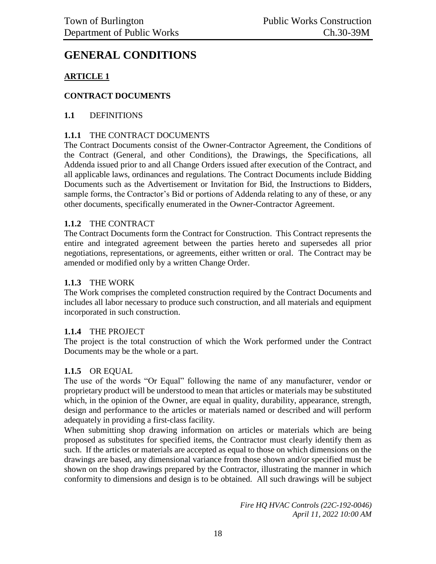# **GENERAL CONDITIONS**

# **ARTICLE 1**

## **CONTRACT DOCUMENTS**

#### **1.1** DEFINITIONS

#### **1.1.1** THE CONTRACT DOCUMENTS

The Contract Documents consist of the Owner-Contractor Agreement, the Conditions of the Contract (General, and other Conditions), the Drawings, the Specifications, all Addenda issued prior to and all Change Orders issued after execution of the Contract, and all applicable laws, ordinances and regulations. The Contract Documents include Bidding Documents such as the Advertisement or Invitation for Bid, the Instructions to Bidders, sample forms, the Contractor's Bid or portions of Addenda relating to any of these, or any other documents, specifically enumerated in the Owner-Contractor Agreement.

#### **1.1.2** THE CONTRACT

The Contract Documents form the Contract for Construction. This Contract represents the entire and integrated agreement between the parties hereto and supersedes all prior negotiations, representations, or agreements, either written or oral. The Contract may be amended or modified only by a written Change Order.

#### **1.1.3** THE WORK

The Work comprises the completed construction required by the Contract Documents and includes all labor necessary to produce such construction, and all materials and equipment incorporated in such construction.

#### **1.1.4** THE PROJECT

The project is the total construction of which the Work performed under the Contract Documents may be the whole or a part.

#### **1.1.5** OR EQUAL

The use of the words "Or Equal" following the name of any manufacturer, vendor or proprietary product will be understood to mean that articles or materials may be substituted which, in the opinion of the Owner, are equal in quality, durability, appearance, strength, design and performance to the articles or materials named or described and will perform adequately in providing a first-class facility.

When submitting shop drawing information on articles or materials which are being proposed as substitutes for specified items, the Contractor must clearly identify them as such. If the articles or materials are accepted as equal to those on which dimensions on the drawings are based, any dimensional variance from those shown and/or specified must be shown on the shop drawings prepared by the Contractor, illustrating the manner in which conformity to dimensions and design is to be obtained. All such drawings will be subject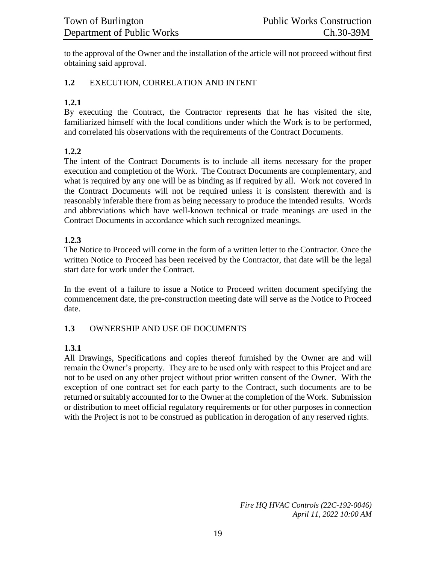to the approval of the Owner and the installation of the article will not proceed without first obtaining said approval.

#### **1.2** EXECUTION, CORRELATION AND INTENT

#### **1.2.1**

By executing the Contract, the Contractor represents that he has visited the site, familiarized himself with the local conditions under which the Work is to be performed, and correlated his observations with the requirements of the Contract Documents.

#### **1.2.2**

The intent of the Contract Documents is to include all items necessary for the proper execution and completion of the Work. The Contract Documents are complementary, and what is required by any one will be as binding as if required by all. Work not covered in the Contract Documents will not be required unless it is consistent therewith and is reasonably inferable there from as being necessary to produce the intended results. Words and abbreviations which have well-known technical or trade meanings are used in the Contract Documents in accordance which such recognized meanings.

#### **1.2.3**

The Notice to Proceed will come in the form of a written letter to the Contractor. Once the written Notice to Proceed has been received by the Contractor, that date will be the legal start date for work under the Contract.

In the event of a failure to issue a Notice to Proceed written document specifying the commencement date, the pre-construction meeting date will serve as the Notice to Proceed date.

#### **1.3** OWNERSHIP AND USE OF DOCUMENTS

## **1.3.1**

All Drawings, Specifications and copies thereof furnished by the Owner are and will remain the Owner's property. They are to be used only with respect to this Project and are not to be used on any other project without prior written consent of the Owner. With the exception of one contract set for each party to the Contract, such documents are to be returned or suitably accounted for to the Owner at the completion of the Work. Submission or distribution to meet official regulatory requirements or for other purposes in connection with the Project is not to be construed as publication in derogation of any reserved rights.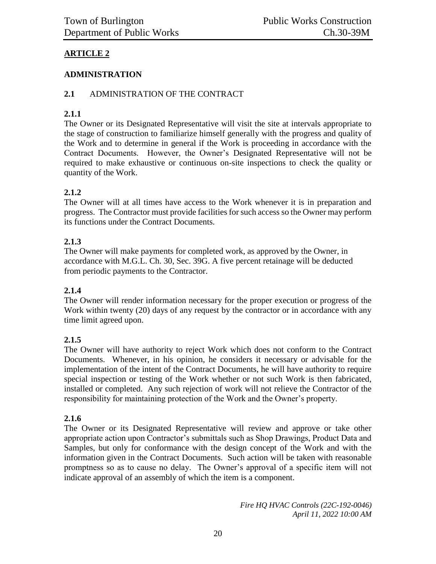# **ARTICLE 2**

# **ADMINISTRATION**

# **2.1** ADMINISTRATION OF THE CONTRACT

# **2.1.1**

The Owner or its Designated Representative will visit the site at intervals appropriate to the stage of construction to familiarize himself generally with the progress and quality of the Work and to determine in general if the Work is proceeding in accordance with the Contract Documents. However, the Owner's Designated Representative will not be required to make exhaustive or continuous on-site inspections to check the quality or quantity of the Work.

# **2.1.2**

The Owner will at all times have access to the Work whenever it is in preparation and progress. The Contractor must provide facilities for such access so the Owner may perform its functions under the Contract Documents.

# **2.1.3**

The Owner will make payments for completed work, as approved by the Owner, in accordance with M.G.L. Ch. 30, Sec. 39G. A five percent retainage will be deducted from periodic payments to the Contractor.

## **2.1.4**

The Owner will render information necessary for the proper execution or progress of the Work within twenty (20) days of any request by the contractor or in accordance with any time limit agreed upon.

## **2.1.5**

The Owner will have authority to reject Work which does not conform to the Contract Documents. Whenever, in his opinion, he considers it necessary or advisable for the implementation of the intent of the Contract Documents, he will have authority to require special inspection or testing of the Work whether or not such Work is then fabricated, installed or completed. Any such rejection of work will not relieve the Contractor of the responsibility for maintaining protection of the Work and the Owner's property.

## **2.1.6**

The Owner or its Designated Representative will review and approve or take other appropriate action upon Contractor's submittals such as Shop Drawings, Product Data and Samples, but only for conformance with the design concept of the Work and with the information given in the Contract Documents. Such action will be taken with reasonable promptness so as to cause no delay. The Owner's approval of a specific item will not indicate approval of an assembly of which the item is a component.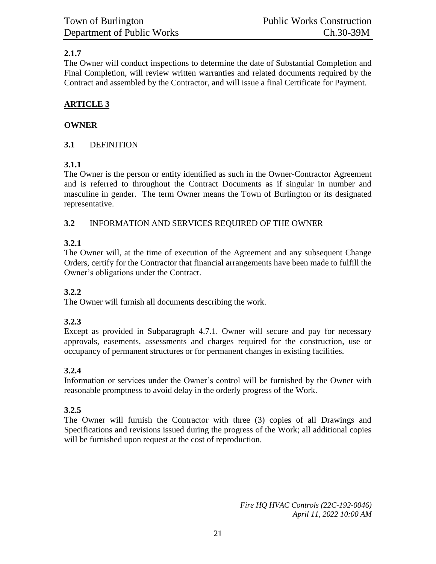# **2.1.7**

The Owner will conduct inspections to determine the date of Substantial Completion and Final Completion, will review written warranties and related documents required by the Contract and assembled by the Contractor, and will issue a final Certificate for Payment.

# **ARTICLE 3**

## **OWNER**

# **3.1** DEFINITION

# **3.1.1**

The Owner is the person or entity identified as such in the Owner-Contractor Agreement and is referred to throughout the Contract Documents as if singular in number and masculine in gender. The term Owner means the Town of Burlington or its designated representative.

# **3.2** INFORMATION AND SERVICES REQUIRED OF THE OWNER

# **3.2.1**

The Owner will, at the time of execution of the Agreement and any subsequent Change Orders, certify for the Contractor that financial arrangements have been made to fulfill the Owner's obligations under the Contract.

## **3.2.2**

The Owner will furnish all documents describing the work.

## **3.2.3**

Except as provided in Subparagraph 4.7.1. Owner will secure and pay for necessary approvals, easements, assessments and charges required for the construction, use or occupancy of permanent structures or for permanent changes in existing facilities.

# **3.2.4**

Information or services under the Owner's control will be furnished by the Owner with reasonable promptness to avoid delay in the orderly progress of the Work.

## **3.2.5**

The Owner will furnish the Contractor with three (3) copies of all Drawings and Specifications and revisions issued during the progress of the Work; all additional copies will be furnished upon request at the cost of reproduction.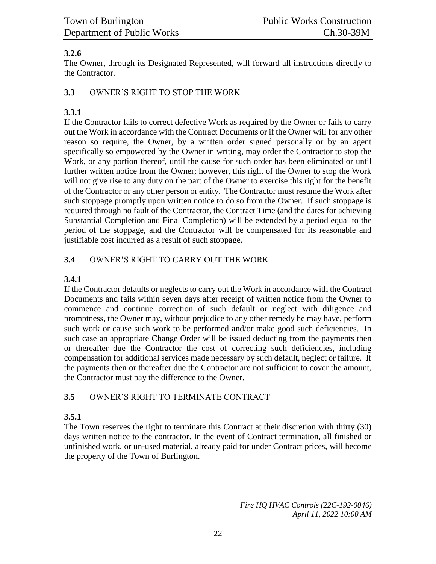## **3.2.6**

The Owner, through its Designated Represented, will forward all instructions directly to the Contractor.

#### **3.3** OWNER'S RIGHT TO STOP THE WORK

# **3.3.1**

If the Contractor fails to correct defective Work as required by the Owner or fails to carry out the Work in accordance with the Contract Documents or if the Owner will for any other reason so require, the Owner, by a written order signed personally or by an agent specifically so empowered by the Owner in writing, may order the Contractor to stop the Work, or any portion thereof, until the cause for such order has been eliminated or until further written notice from the Owner; however, this right of the Owner to stop the Work will not give rise to any duty on the part of the Owner to exercise this right for the benefit of the Contractor or any other person or entity. The Contractor must resume the Work after such stoppage promptly upon written notice to do so from the Owner. If such stoppage is required through no fault of the Contractor, the Contract Time (and the dates for achieving Substantial Completion and Final Completion) will be extended by a period equal to the period of the stoppage, and the Contractor will be compensated for its reasonable and justifiable cost incurred as a result of such stoppage.

# **3.4** OWNER'S RIGHT TO CARRY OUT THE WORK

# **3.4.1**

If the Contractor defaults or neglects to carry out the Work in accordance with the Contract Documents and fails within seven days after receipt of written notice from the Owner to commence and continue correction of such default or neglect with diligence and promptness, the Owner may, without prejudice to any other remedy he may have, perform such work or cause such work to be performed and/or make good such deficiencies. In such case an appropriate Change Order will be issued deducting from the payments then or thereafter due the Contractor the cost of correcting such deficiencies, including compensation for additional services made necessary by such default, neglect or failure. If the payments then or thereafter due the Contractor are not sufficient to cover the amount, the Contractor must pay the difference to the Owner.

## **3.5** OWNER'S RIGHT TO TERMINATE CONTRACT

## **3.5.1**

The Town reserves the right to terminate this Contract at their discretion with thirty (30) days written notice to the contractor. In the event of Contract termination, all finished or unfinished work, or un-used material, already paid for under Contract prices, will become the property of the Town of Burlington.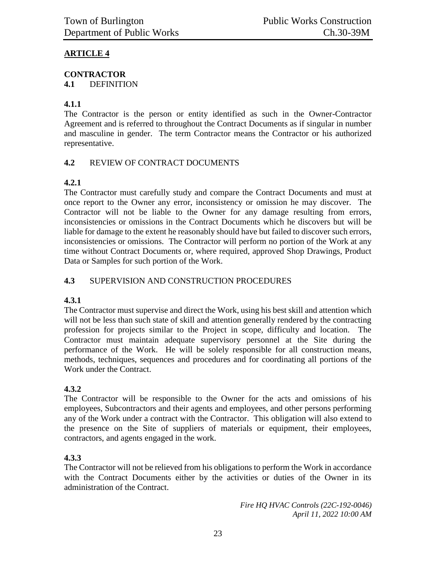# **ARTICLE 4**

# **CONTRACTOR**

**4.1** DEFINITION

# **4.1.1**

The Contractor is the person or entity identified as such in the Owner-Contractor Agreement and is referred to throughout the Contract Documents as if singular in number and masculine in gender. The term Contractor means the Contractor or his authorized representative.

## **4.2** REVIEW OF CONTRACT DOCUMENTS

# **4.2.1**

The Contractor must carefully study and compare the Contract Documents and must at once report to the Owner any error, inconsistency or omission he may discover. The Contractor will not be liable to the Owner for any damage resulting from errors, inconsistencies or omissions in the Contract Documents which he discovers but will be liable for damage to the extent he reasonably should have but failed to discover such errors, inconsistencies or omissions. The Contractor will perform no portion of the Work at any time without Contract Documents or, where required, approved Shop Drawings, Product Data or Samples for such portion of the Work.

# **4.3** SUPERVISION AND CONSTRUCTION PROCEDURES

## **4.3.1**

The Contractor must supervise and direct the Work, using his best skill and attention which will not be less than such state of skill and attention generally rendered by the contracting profession for projects similar to the Project in scope, difficulty and location. The Contractor must maintain adequate supervisory personnel at the Site during the performance of the Work. He will be solely responsible for all construction means, methods, techniques, sequences and procedures and for coordinating all portions of the Work under the Contract.

## **4.3.2**

The Contractor will be responsible to the Owner for the acts and omissions of his employees, Subcontractors and their agents and employees, and other persons performing any of the Work under a contract with the Contractor. This obligation will also extend to the presence on the Site of suppliers of materials or equipment, their employees, contractors, and agents engaged in the work.

## **4.3.3**

The Contractor will not be relieved from his obligations to perform the Work in accordance with the Contract Documents either by the activities or duties of the Owner in its administration of the Contract.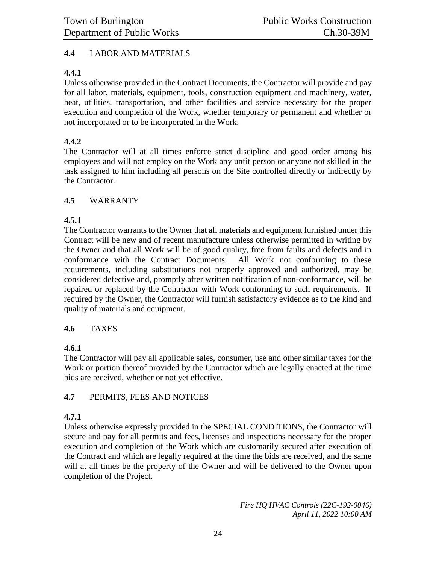#### **4.4** LABOR AND MATERIALS

#### **4.4.1**

Unless otherwise provided in the Contract Documents, the Contractor will provide and pay for all labor, materials, equipment, tools, construction equipment and machinery, water, heat, utilities, transportation, and other facilities and service necessary for the proper execution and completion of the Work, whether temporary or permanent and whether or not incorporated or to be incorporated in the Work.

#### **4.4.2**

The Contractor will at all times enforce strict discipline and good order among his employees and will not employ on the Work any unfit person or anyone not skilled in the task assigned to him including all persons on the Site controlled directly or indirectly by the Contractor.

#### **4.5** WARRANTY

#### **4.5.1**

The Contractor warrants to the Owner that all materials and equipment furnished under this Contract will be new and of recent manufacture unless otherwise permitted in writing by the Owner and that all Work will be of good quality, free from faults and defects and in conformance with the Contract Documents. All Work not conforming to these requirements, including substitutions not properly approved and authorized, may be considered defective and, promptly after written notification of non-conformance, will be repaired or replaced by the Contractor with Work conforming to such requirements. If required by the Owner, the Contractor will furnish satisfactory evidence as to the kind and quality of materials and equipment.

#### **4.6** TAXES

## **4.6.1**

The Contractor will pay all applicable sales, consumer, use and other similar taxes for the Work or portion thereof provided by the Contractor which are legally enacted at the time bids are received, whether or not yet effective.

#### **4.7** PERMITS, FEES AND NOTICES

#### **4.7.1**

Unless otherwise expressly provided in the SPECIAL CONDITIONS, the Contractor will secure and pay for all permits and fees, licenses and inspections necessary for the proper execution and completion of the Work which are customarily secured after execution of the Contract and which are legally required at the time the bids are received, and the same will at all times be the property of the Owner and will be delivered to the Owner upon completion of the Project.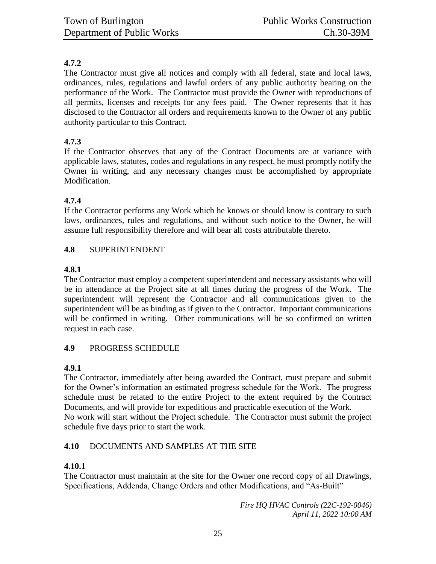# **4.7.2**

The Contractor must give all notices and comply with all federal, state and local laws, ordinances, rules, regulations and lawful orders of any public authority bearing on the performance of the Work. The Contractor must provide the Owner with reproductions of all permits, licenses and receipts for any fees paid. The Owner represents that it has disclosed to the Contractor all orders and requirements known to the Owner of any public authority particular to this Contract.

## **4.7.3**

If the Contractor observes that any of the Contract Documents are at variance with applicable laws, statutes, codes and regulations in any respect, he must promptly notify the Owner in writing, and any necessary changes must be accomplished by appropriate Modification.

## **4.7.4**

If the Contractor performs any Work which he knows or should know is contrary to such laws, ordinances, rules and regulations, and without such notice to the Owner, he will assume full responsibility therefore and will bear all costs attributable thereto.

#### **4.8** SUPERINTENDENT

#### **4.8.1**

The Contractor must employ a competent superintendent and necessary assistants who will be in attendance at the Project site at all times during the progress of the Work. The superintendent will represent the Contractor and all communications given to the superintendent will be as binding as if given to the Contractor. Important communications will be confirmed in writing. Other communications will be so confirmed on written request in each case.

## **4.9** PROGRESS SCHEDULE

## **4.9.1**

The Contractor, immediately after being awarded the Contract, must prepare and submit for the Owner's information an estimated progress schedule for the Work. The progress schedule must be related to the entire Project to the extent required by the Contract Documents, and will provide for expeditious and practicable execution of the Work. No work will start without the Project schedule. The Contractor must submit the project schedule five days prior to start the work.

## **4.10** DOCUMENTS AND SAMPLES AT THE SITE

## **4.10.1**

The Contractor must maintain at the site for the Owner one record copy of all Drawings, Specifications, Addenda, Change Orders and other Modifications, and "As-Built"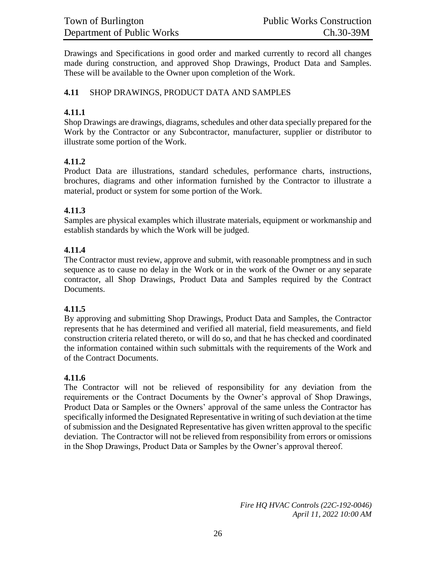Drawings and Specifications in good order and marked currently to record all changes made during construction, and approved Shop Drawings, Product Data and Samples. These will be available to the Owner upon completion of the Work.

## **4.11** SHOP DRAWINGS, PRODUCT DATA AND SAMPLES

#### **4.11.1**

Shop Drawings are drawings, diagrams, schedules and other data specially prepared for the Work by the Contractor or any Subcontractor, manufacturer, supplier or distributor to illustrate some portion of the Work.

#### **4.11.2**

Product Data are illustrations, standard schedules, performance charts, instructions, brochures, diagrams and other information furnished by the Contractor to illustrate a material, product or system for some portion of the Work.

#### **4.11.3**

Samples are physical examples which illustrate materials, equipment or workmanship and establish standards by which the Work will be judged.

#### **4.11.4**

The Contractor must review, approve and submit, with reasonable promptness and in such sequence as to cause no delay in the Work or in the work of the Owner or any separate contractor, all Shop Drawings, Product Data and Samples required by the Contract Documents.

#### **4.11.5**

By approving and submitting Shop Drawings, Product Data and Samples, the Contractor represents that he has determined and verified all material, field measurements, and field construction criteria related thereto, or will do so, and that he has checked and coordinated the information contained within such submittals with the requirements of the Work and of the Contract Documents.

#### **4.11.6**

The Contractor will not be relieved of responsibility for any deviation from the requirements or the Contract Documents by the Owner's approval of Shop Drawings, Product Data or Samples or the Owners' approval of the same unless the Contractor has specifically informed the Designated Representative in writing of such deviation at the time of submission and the Designated Representative has given written approval to the specific deviation. The Contractor will not be relieved from responsibility from errors or omissions in the Shop Drawings, Product Data or Samples by the Owner's approval thereof.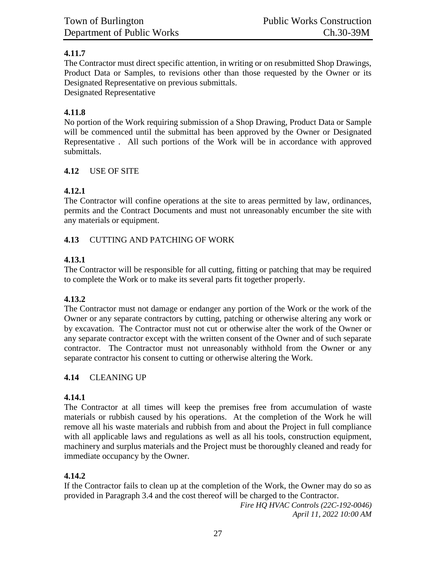# **4.11.7**

The Contractor must direct specific attention, in writing or on resubmitted Shop Drawings, Product Data or Samples, to revisions other than those requested by the Owner or its Designated Representative on previous submittals.

Designated Representative

# **4.11.8**

No portion of the Work requiring submission of a Shop Drawing, Product Data or Sample will be commenced until the submittal has been approved by the Owner or Designated Representative . All such portions of the Work will be in accordance with approved submittals.

# **4.12** USE OF SITE

# **4.12.1**

The Contractor will confine operations at the site to areas permitted by law, ordinances, permits and the Contract Documents and must not unreasonably encumber the site with any materials or equipment.

## **4.13** CUTTING AND PATCHING OF WORK

# **4.13.1**

The Contractor will be responsible for all cutting, fitting or patching that may be required to complete the Work or to make its several parts fit together properly.

## **4.13.2**

The Contractor must not damage or endanger any portion of the Work or the work of the Owner or any separate contractors by cutting, patching or otherwise altering any work or by excavation. The Contractor must not cut or otherwise alter the work of the Owner or any separate contractor except with the written consent of the Owner and of such separate contractor. The Contractor must not unreasonably withhold from the Owner or any separate contractor his consent to cutting or otherwise altering the Work.

# **4.14** CLEANING UP

# **4.14.1**

The Contractor at all times will keep the premises free from accumulation of waste materials or rubbish caused by his operations. At the completion of the Work he will remove all his waste materials and rubbish from and about the Project in full compliance with all applicable laws and regulations as well as all his tools, construction equipment, machinery and surplus materials and the Project must be thoroughly cleaned and ready for immediate occupancy by the Owner.

## **4.14.2**

If the Contractor fails to clean up at the completion of the Work, the Owner may do so as provided in Paragraph 3.4 and the cost thereof will be charged to the Contractor.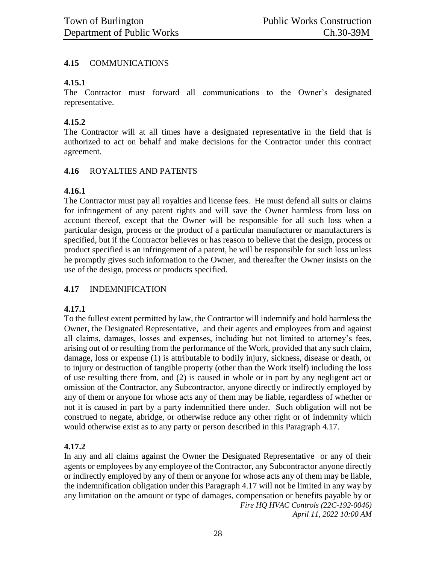#### **4.15** COMMUNICATIONS

#### **4.15.1**

The Contractor must forward all communications to the Owner's designated representative.

#### **4.15.2**

The Contractor will at all times have a designated representative in the field that is authorized to act on behalf and make decisions for the Contractor under this contract agreement.

#### **4.16** ROYALTIES AND PATENTS

#### **4.16.1**

The Contractor must pay all royalties and license fees. He must defend all suits or claims for infringement of any patent rights and will save the Owner harmless from loss on account thereof, except that the Owner will be responsible for all such loss when a particular design, process or the product of a particular manufacturer or manufacturers is specified, but if the Contractor believes or has reason to believe that the design, process or product specified is an infringement of a patent, he will be responsible for such loss unless he promptly gives such information to the Owner, and thereafter the Owner insists on the use of the design, process or products specified.

## **4.17** INDEMNIFICATION

#### **4.17.1**

To the fullest extent permitted by law, the Contractor will indemnify and hold harmless the Owner, the Designated Representative, and their agents and employees from and against all claims, damages, losses and expenses, including but not limited to attorney's fees, arising out of or resulting from the performance of the Work, provided that any such claim, damage, loss or expense (1) is attributable to bodily injury, sickness, disease or death, or to injury or destruction of tangible property (other than the Work itself) including the loss of use resulting there from, and (2) is caused in whole or in part by any negligent act or omission of the Contractor, any Subcontractor, anyone directly or indirectly employed by any of them or anyone for whose acts any of them may be liable, regardless of whether or not it is caused in part by a party indemnified there under. Such obligation will not be construed to negate, abridge, or otherwise reduce any other right or of indemnity which would otherwise exist as to any party or person described in this Paragraph 4.17.

## **4.17.2**

*Fire HQ HVAC Controls (22C-192-0046) April 11, 2022 10:00 AM* In any and all claims against the Owner the Designated Representative or any of their agents or employees by any employee of the Contractor, any Subcontractor anyone directly or indirectly employed by any of them or anyone for whose acts any of them may be liable, the indemnification obligation under this Paragraph 4.17 will not be limited in any way by any limitation on the amount or type of damages, compensation or benefits payable by or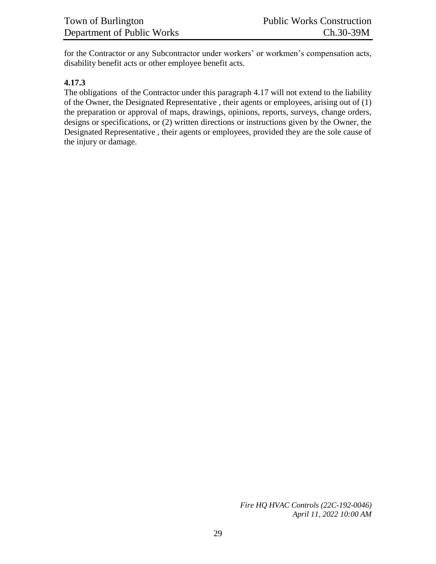for the Contractor or any Subcontractor under workers' or workmen's compensation acts, disability benefit acts or other employee benefit acts.

#### **4.17.3**

The obligations of the Contractor under this paragraph 4.17 will not extend to the liability of the Owner, the Designated Representative , their agents or employees, arising out of (1) the preparation or approval of maps, drawings, opinions, reports, surveys, change orders, designs or specifications, or (2) written directions or instructions given by the Owner, the Designated Representative , their agents or employees, provided they are the sole cause of the injury or damage.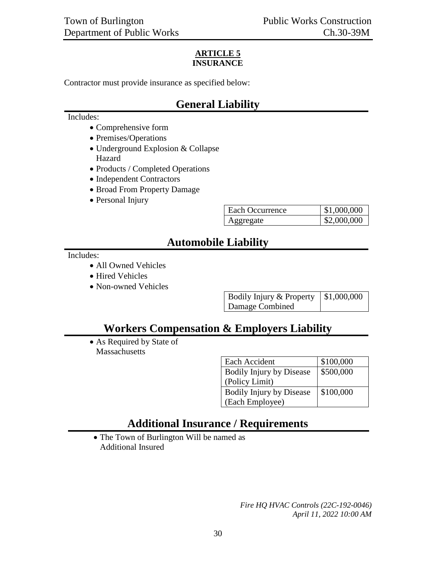#### **ARTICLE 5 INSURANCE**

Contractor must provide insurance as specified below:

# **General Liability**

#### Includes:

- Comprehensive form
- Premises/Operations
- Underground Explosion & Collapse Hazard
- Products / Completed Operations
- Independent Contractors
- Broad From Property Damage
- Personal Injury

| Each Occurrence | \$1,000,000 |
|-----------------|-------------|
| Aggregate       | \$2,000,000 |

# **Automobile Liability**

Includes:

- All Owned Vehicles
- Hired Vehicles
- Non-owned Vehicles

| Bodily Injury & Property $\vert$ \$1,000,000 |  |
|----------------------------------------------|--|
| Damage Combined                              |  |

# **Workers Compensation & Employers Liability**

 As Required by State of **Massachusetts** 

| Each Accident                   | \$100,000 |
|---------------------------------|-----------|
| <b>Bodily Injury by Disease</b> | \$500,000 |
| (Policy Limit)                  |           |
| <b>Bodily Injury by Disease</b> | \$100,000 |
| (Each Employee)                 |           |

# **Additional Insurance / Requirements**

• The Town of Burlington Will be named as Additional Insured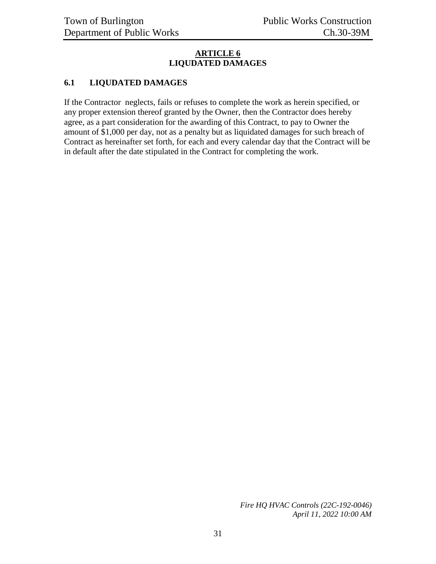#### **ARTICLE 6 LIQUDATED DAMAGES**

#### **6.1 LIQUDATED DAMAGES**

If the Contractor neglects, fails or refuses to complete the work as herein specified, or any proper extension thereof granted by the Owner, then the Contractor does hereby agree, as a part consideration for the awarding of this Contract, to pay to Owner the amount of \$1,000 per day, not as a penalty but as liquidated damages for such breach of Contract as hereinafter set forth, for each and every calendar day that the Contract will be in default after the date stipulated in the Contract for completing the work.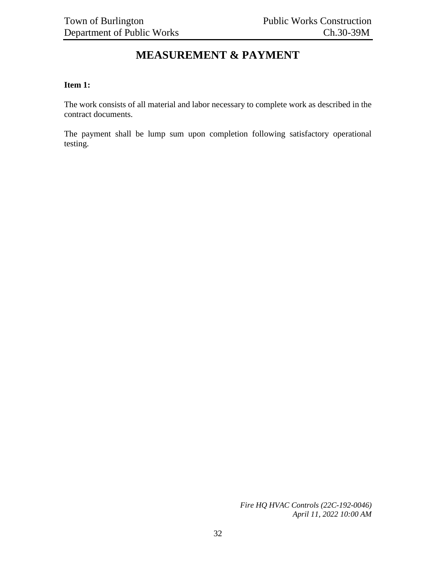# **MEASUREMENT & PAYMENT**

#### <span id="page-31-0"></span>**Item 1:**

The work consists of all material and labor necessary to complete work as described in the contract documents.

The payment shall be lump sum upon completion following satisfactory operational testing.